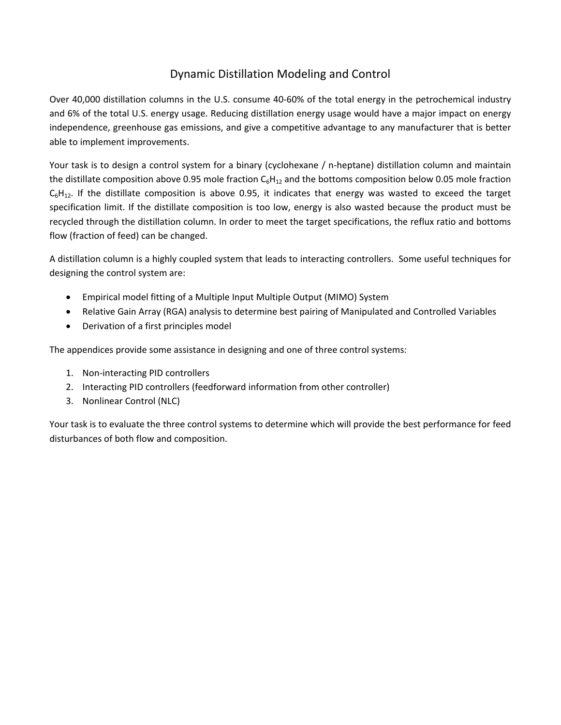## Dynamic Distillation Modeling and Control

Over 40,000 distillation columns in the U.S. consume 40‐60% of the total energy in the petrochemical industry and 6% of the total U.S. energy usage. Reducing distillation energy usage would have a major impact on energy independence, greenhouse gas emissions, and give a competitive advantage to any manufacturer that is better able to implement improvements.

Your task is to design a control system for a binary (cyclohexane / n‐heptane) distillation column and maintain the distillate composition above 0.95 mole fraction  $C_6H_{12}$  and the bottoms composition below 0.05 mole fraction  $C_6H_{12}$ . If the distillate composition is above 0.95, it indicates that energy was wasted to exceed the target specification limit. If the distillate composition is too low, energy is also wasted because the product must be recycled through the distillation column. In order to meet the target specifications, the reflux ratio and bottoms flow (fraction of feed) can be changed.

A distillation column is a highly coupled system that leads to interacting controllers. Some useful techniques for designing the control system are:

- Empirical model fitting of a Multiple Input Multiple Output (MIMO) System
- Relative Gain Array (RGA) analysis to determine best pairing of Manipulated and Controlled Variables
- Derivation of a first principles model

The appendices provide some assistance in designing and one of three control systems:

- 1. Non‐interacting PID controllers
- 2. Interacting PID controllers (feedforward information from other controller)
- 3. Nonlinear Control (NLC)

Your task is to evaluate the three control systems to determine which will provide the best performance for feed disturbances of both flow and composition.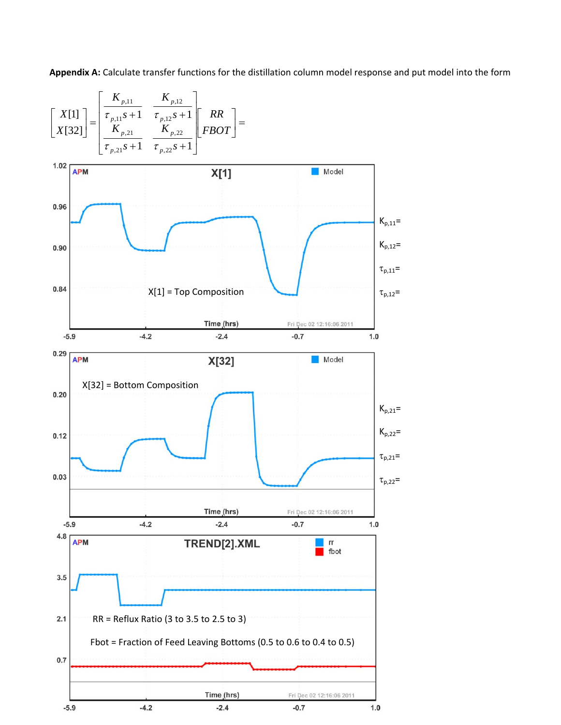**Appendix A:** Calculate transfer functions for the distillation column model response and put model into the form

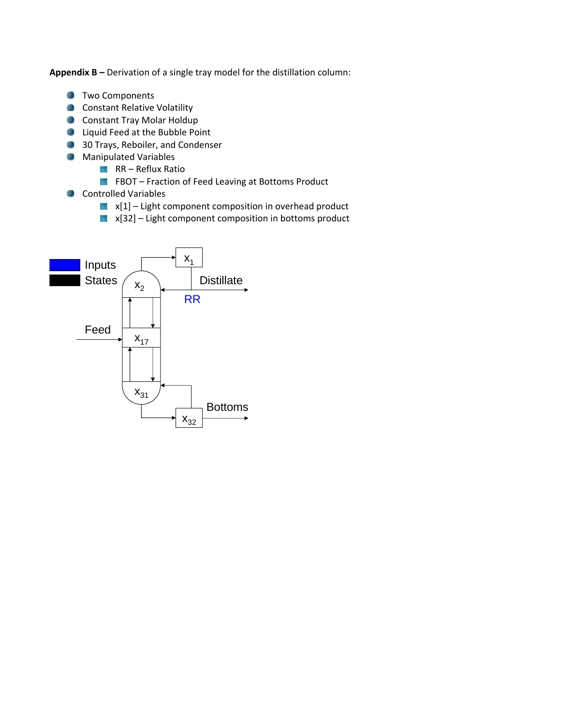**Appendix B –** Derivation of a single tray model for the distillation column:

- **Two Components**
- **Constant Relative Volatility**
- **Constant Tray Molar Holdup**
- **D** Liquid Feed at the Bubble Point
- **30 Trays, Reboiler, and Condenser**
- **Manipulated Variables** 
	- $RR Reflux Ratio$
	- FBOT Fraction of Feed Leaving at Bottoms Product
- Controlled Variables
	- $x[1]$  Light component composition in overhead product
	- $x[32]$  Light component composition in bottoms product

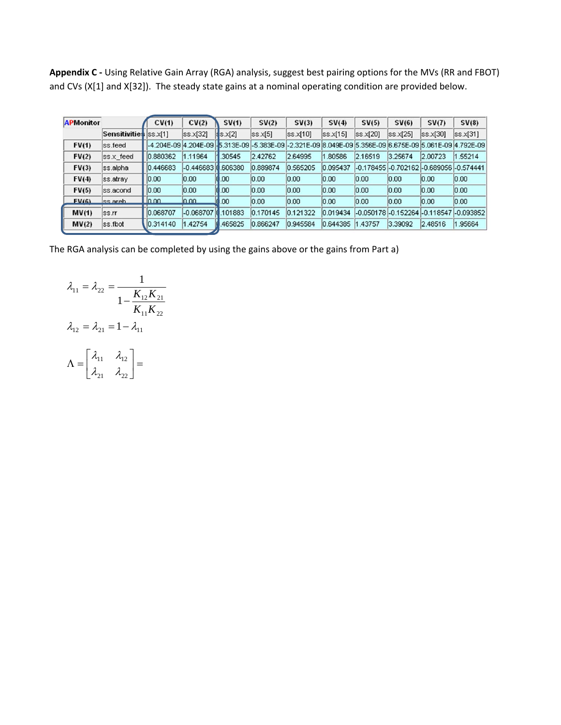**Appendix C ‐** Using Relative Gain Array (RGA) analysis, suggest best pairing options for the MVs (RR and FBOT) and CVs (X[1] and X[32]). The steady state gains at a nominal operating condition are provided below.

| <b>APMonitor</b> |                       | CV(1)    | CV(2)          | SV(1)              | SV(2)    | SV(3)                                                                                                              | SV(4)    | SV(5)    | SV(6)                                   | SV(7)    | SV(8)    |
|------------------|-----------------------|----------|----------------|--------------------|----------|--------------------------------------------------------------------------------------------------------------------|----------|----------|-----------------------------------------|----------|----------|
|                  | Sensitivities ss.x[1] |          | $s$ s $x$ [32] | $ $ s $\times$ [2] | ss.x[5]  | ss.x 10                                                                                                            | ss.x[15] | ss.x[20] | $s$ s $x$ [25]                          | ss.x[30] | ss.x[31] |
| FV(1)            | ss.feed               |          |                |                    |          | l-4.204E-09  4.204E-09  -15.313E-09  -5.383E-09  -2.321E-09  8.049E-09  5.356E-09  6.675E-09  5.061E-09  4.792E-09 |          |          |                                         |          |          |
| FV(2)            | ss.x_feed             | 0.880362 | 1.11964        | 30545              | 2.42762  | 2.64995                                                                                                            | .80586   | 2.16519  | 3.25674                                 | 2.00723  | 1.55214  |
| FV(3)            | ss.alpha              | 0.446683 | $-0.44668310$  | .606380            | 0.889874 | 0.565205                                                                                                           | 0.095437 |          | -0.178455 -0.702162 -0.689056 -0.574441 |          |          |
| FV(4)            | ss.atray              | 0.00     | 0.00           | .00                | 0.00     | 0.00                                                                                                               | 0.00     | 0.00     | 0.00                                    | 0.00     | 0.00     |
| FV(5)            | ss.acond              | 0.00     | 0.00           | 0.00               | 0.00     | 0.00                                                                                                               | 0.00     | 0.00     | 0.00                                    | 0.00     | 0.00     |
| FV(6)            | ss areb               | 0.00     | 0.00           | 0.00               | 0.00     | 0.00                                                                                                               | 0.00     | 0.00     | 0.00                                    | 0.00     | 0.00     |
| MV(1)            | SS.rr                 | 0.068707 | -0.068707      | 101883             | 0.170145 | 0.121322                                                                                                           | 0.019434 |          | -0.050178 -0.152264 -0.118547 -0.093852 |          |          |
| MV(2)            | ss.fbot               | 0.314140 | 1.42754        | 465825             | 0.866247 | 0.945584                                                                                                           | 0.644385 | .43757   | 3.39092                                 | 2.48516  | 1.95664  |

The RGA analysis can be completed by using the gains above or the gains from Part a)

$$
\lambda_{11} = \lambda_{22} = \frac{1}{1 - \frac{K_{12}K_{21}}{K_{11}K_{22}}}
$$

$$
\lambda_{12} = \lambda_{21} = 1 - \lambda_{11}
$$

$$
\Lambda = \begin{bmatrix} \lambda_{11} & \lambda_{12} \\ \lambda_{21} & \lambda_{22} \end{bmatrix} =
$$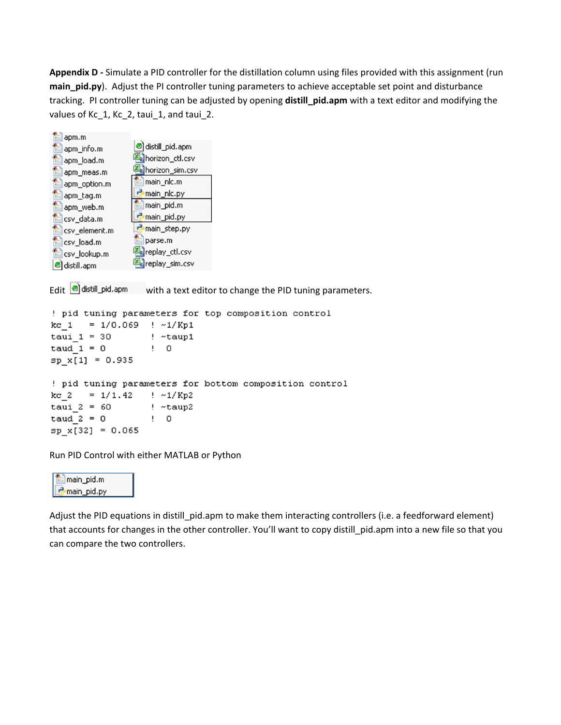**Appendix D ‐** Simulate a PID controller for the distillation column using files provided with this assignment (run **main\_pid.py**). Adjust the PI controller tuning parameters to achieve acceptable set point and disturbance tracking. PI controller tuning can be adjusted by opening **distill\_pid.apm** with a text editor and modifying the values of Kc\_1, Kc\_2, taui\_1, and taui\_2.

| apm.m         | distill_pid.apm |  |  |  |  |  |
|---------------|-----------------|--|--|--|--|--|
| apm_info.m    |                 |  |  |  |  |  |
| apm_load.m    | horizon_ctl.csv |  |  |  |  |  |
| apm_meas.m    | horizon_sim.csv |  |  |  |  |  |
| apm_option.m  | main_nlc.m      |  |  |  |  |  |
| apm_tag.m     | main_nlc.py     |  |  |  |  |  |
| apm_web.m     | main_pid.m      |  |  |  |  |  |
| csv_data.m    | main_pid.py     |  |  |  |  |  |
| csv_element.m | main_step.py    |  |  |  |  |  |
| csv_load.m    | parse.m         |  |  |  |  |  |
| csv_lookup.m  | replay_ctl.csv  |  |  |  |  |  |
| distill.apm   | replay_sim.csv  |  |  |  |  |  |

Edit  $\Box$  distill\_pid.apm with a text editor to change the PID tuning parameters.

```
! pid tuning parameters for top composition control
kc 1 = 1/0.069 ! \sim 1/Kp1
tau_1 = 30! ~taup1
taud 1 = 0\mathbf{I} 0
sp_x[1] = 0.935! pid tuning parameters for bottom composition control
                   \frac{1}{2} ~1/Kp2
kc 2 = 1/1.42taui 2 = 60! ~taup2
taud 2 = 0\mathbf{I} 0
sp_x[32] = 0.065
```
Run PID Control with either MATLAB or Python

main\_pid.m P main\_pid.py

Adjust the PID equations in distill\_pid.apm to make them interacting controllers (i.e. a feedforward element) that accounts for changes in the other controller. You'll want to copy distill\_pid.apm into a new file so that you can compare the two controllers.